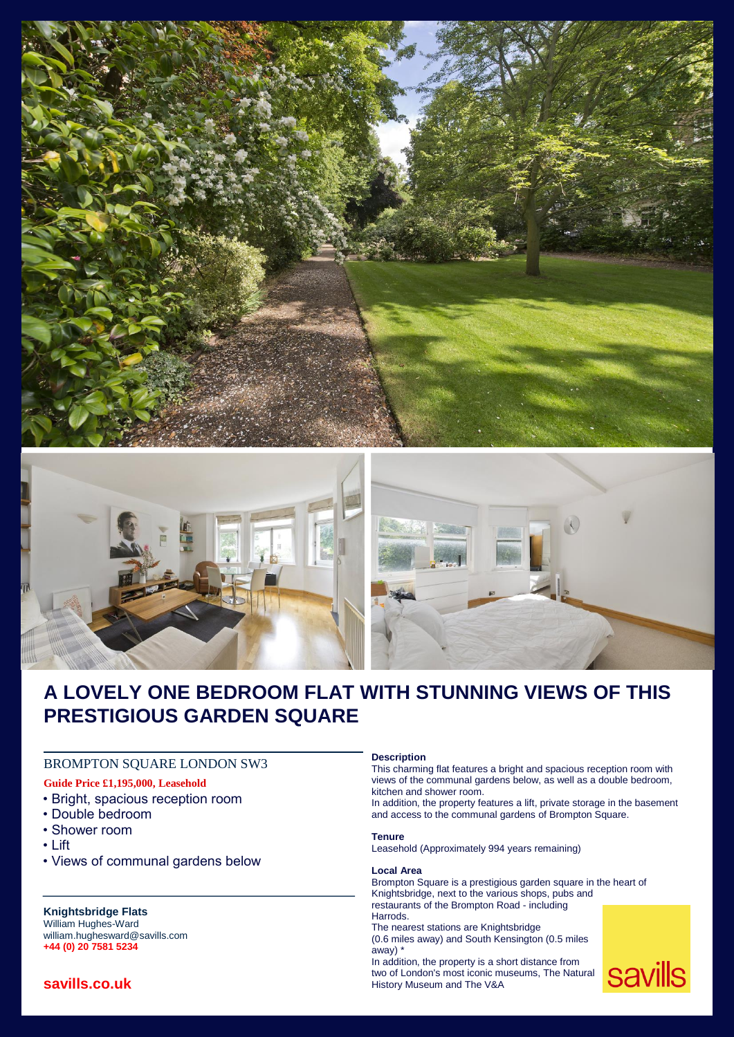



# **A LOVELY ONE BEDROOM FLAT WITH STUNNING VIEWS OF THIS PRESTIGIOUS GARDEN SQUARE**

# BROMPTON SQUARE LONDON SW3

# **Guide Price £1,195,000, Leasehold**

- Bright, spacious reception room
- Double bedroom
- Shower room
- Lift
- Views of communal gardens below

# **Knightsbridge Flats**

William Hughes-Ward william.hughesward@savills.com **+44 (0) 20 7581 5234**

# **savills.co.uk**

#### **Description**

This charming flat features a bright and spacious reception room with views of the communal gardens below, as well as a double bedroom, kitchen and shower room.

In addition, the property features a lift, private storage in the basement and access to the communal gardens of Brompton Square.

#### **Tenure**

Leasehold (Approximately 994 years remaining)

#### **Local Area**

Brompton Square is a prestigious garden square in the heart of Knightsbridge, next to the various shops, pubs and restaurants of the Brompton Road - including Harrods. The nearest stations are Knightsbridge (0.6 miles away) and South Kensington (0.5 miles away) \* In addition, the property is a short distance from

two of London's most iconic museums, The Natural History Museum and The V&A